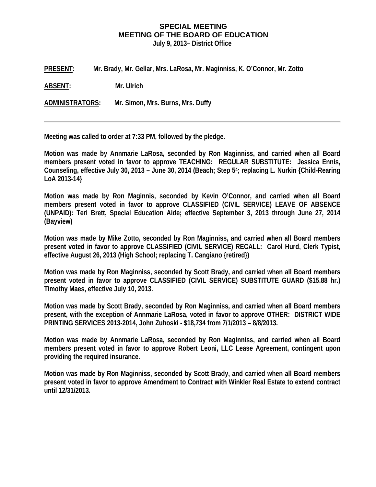## **SPECIAL MEETING MEETING OF THE BOARD OF EDUCATION July 9, 2013– District Office**

**PRESENT: Mr. Brady, Mr. Gellar, Mrs. LaRosa, Mr. Maginniss, K. O'Connor, Mr. Zotto** 

**ABSENT: Mr. Ulrich** 

**ADMINISTRATORS: Mr. Simon, Mrs. Burns, Mrs. Duffy** 

**Meeting was called to order at 7:33 PM, followed by the pledge.** 

**Motion was made by Annmarie LaRosa, seconded by Ron Maginniss, and carried when all Board members present voted in favor to approve TEACHING: REGULAR SUBSTITUTE: Jessica Ennis, Counseling, effective July 30, 2013 – June 30, 2014 (Beach; Step 54; replacing L. Nurkin {Child-Rearing LoA 2013-14}** 

**Motion was made by Ron Maginnis, seconded by Kevin O'Connor, and carried when all Board members present voted in favor to approve CLASSIFIED (CIVIL SERVICE) LEAVE OF ABSENCE (UNPAID): Teri Brett, Special Education Aide; effective September 3, 2013 through June 27, 2014 (Bayview)** 

**Motion was made by Mike Zotto, seconded by Ron Maginniss, and carried when all Board members present voted in favor to approve CLASSIFIED (CIVIL SERVICE) RECALL: Carol Hurd, Clerk Typist, effective August 26, 2013 (High School; replacing T. Cangiano {retired})** 

**Motion was made by Ron Maginniss, seconded by Scott Brady, and carried when all Board members present voted in favor to approve CLASSIFIED (CIVIL SERVICE) SUBSTITUTE GUARD (\$15.88 hr.) Timothy Maes, effective July 10, 2013.** 

**Motion was made by Scott Brady, seconded by Ron Maginniss, and carried when all Board members present, with the exception of Annmarie LaRosa, voted in favor to approve OTHER: DISTRICT WIDE PRINTING SERVICES 2013-2014, John Zuhoski - \$18,734 from 7/1/2013 – 8/8/2013.** 

**Motion was made by Annmarie LaRosa, seconded by Ron Maginniss, and carried when all Board members present voted in favor to approve Robert Leoni, LLC Lease Agreement, contingent upon providing the required insurance.** 

**Motion was made by Ron Maginniss, seconded by Scott Brady, and carried when all Board members present voted in favor to approve Amendment to Contract with Winkler Real Estate to extend contract until 12/31/2013.**